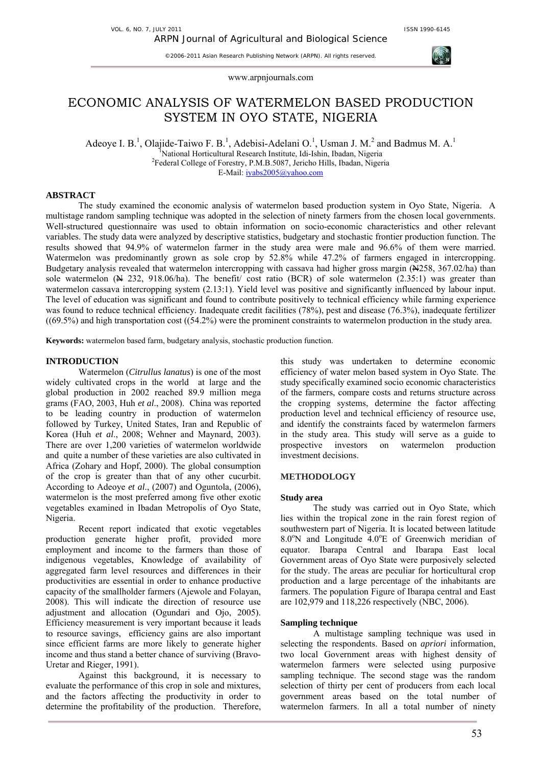VOL. 6, NO. 7, JULY 2011 **ISSN 1990-6145** 

©2006-2011 Asian Research Publishing Network (ARPN). All rights reserved.



# ECONOMIC ANALYSIS OF WATERMELON BASED PRODUCTION SYSTEM IN OYO STATE, NIGERIA

Adeoye I. B.<sup>1</sup>, Olajide-Taiwo F. B.<sup>1</sup>, Adebisi-Adelani O.<sup>1</sup>, Usman J. M.<sup>2</sup> and Badmus M. A.<sup>1</sup> <sup>1</sup>National Horticultural Research Institute, Idi-Ishin, Ibadan, Nigeria<br><sup>2</sup>Eederal Collage of Ferestry, **B M B 5027, Jerisha Hills, Ibadan, Niger** <sup>2</sup>Federal College of Forestry, P.M.B.5087, Jericho Hills, Ibadan, Nigeria

E-Mail: iyabs2005@yahoo.com

## **ABSTRACT**

The study examined the economic analysis of watermelon based production system in Oyo State, Nigeria. A multistage random sampling technique was adopted in the selection of ninety farmers from the chosen local governments. Well-structured questionnaire was used to obtain information on socio-economic characteristics and other relevant variables. The study data were analyzed by descriptive statistics, budgetary and stochastic frontier production function. The results showed that 94.9% of watermelon farmer in the study area were male and 96.6% of them were married. Watermelon was predominantly grown as sole crop by 52.8% while 47.2% of farmers engaged in intercropping. Budgetary analysis revealed that watermelon intercropping with cassava had higher gross margin (N258, 367.02/ha) than sole watermelon ( $\cancel{N}$  232, 918.06/ha). The benefit/ cost ratio (BCR) of sole watermelon (2.35:1) was greater than watermelon cassava intercropping system (2.13:1). Yield level was positive and significantly influenced by labour input. The level of education was significant and found to contribute positively to technical efficiency while farming experience was found to reduce technical efficiency. Inadequate credit facilities (78%), pest and disease (76.3%), inadequate fertilizer  $((69.5%)$  and high transportation cost  $((54.2%)$  were the prominent constraints to watermelon production in the study area.

**Keywords:** watermelon based farm, budgetary analysis, stochastic production function.

## **INTRODUCTION**

Watermelon (*Citrullus lanatus*) is one of the most widely cultivated crops in the world at large and the global production in 2002 reached 89.9 million mega grams (FAO, 2003, Huh *et al*., 2008). China was reported to be leading country in production of watermelon followed by Turkey, United States, Iran and Republic of Korea (Huh *et al*., 2008; Wehner and Maynard, 2003). There are over 1,200 varieties of watermelon worldwide and quite a number of these varieties are also cultivated in Africa (Zohary and Hopf, 2000). The global consumption of the crop is greater than that of any other cucurbit. According to Adeoye *et al*., (2007) and Oguntola, (2006), watermelon is the most preferred among five other exotic vegetables examined in Ibadan Metropolis of Oyo State, Nigeria.

Recent report indicated that exotic vegetables production generate higher profit, provided more employment and income to the farmers than those of indigenous vegetables, Knowledge of availability of aggregated farm level resources and differences in their productivities are essential in order to enhance productive capacity of the smallholder farmers (Ajewole and Folayan, 2008). This will indicate the direction of resource use adjustment and allocation (Ogundari and Ojo, 2005). Efficiency measurement is very important because it leads to resource savings, efficiency gains are also important since efficient farms are more likely to generate higher income and thus stand a better chance of surviving (Bravo-Uretar and Rieger, 1991).

Against this background, it is necessary to evaluate the performance of this crop in sole and mixtures, and the factors affecting the productivity in order to determine the profitability of the production. Therefore,

this study was undertaken to determine economic efficiency of water melon based system in Oyo State. The study specifically examined socio economic characteristics of the farmers, compare costs and returns structure across the cropping systems, determine the factor affecting production level and technical efficiency of resource use, and identify the constraints faced by watermelon farmers in the study area. This study will serve as a guide to prospective investors on watermelon production investment decisions.

#### **METHODOLOGY**

## **Study area**

The study was carried out in Oyo State, which lies within the tropical zone in the rain forest region of southwestern part of Nigeria. It is located between latitude 8.0°N and Longitude 4.0°E of Greenwich meridian of equator. Ibarapa Central and Ibarapa East local Government areas of Oyo State were purposively selected for the study. The areas are peculiar for horticultural crop production and a large percentage of the inhabitants are farmers. The population Figure of Ibarapa central and East are 102,979 and 118,226 respectively (NBC, 2006).

## **Sampling technique**

A multistage sampling technique was used in selecting the respondents. Based on *apriori* information, two local Government areas with highest density of watermelon farmers were selected using purposive sampling technique. The second stage was the random selection of thirty per cent of producers from each local government areas based on the total number of watermelon farmers. In all a total number of ninety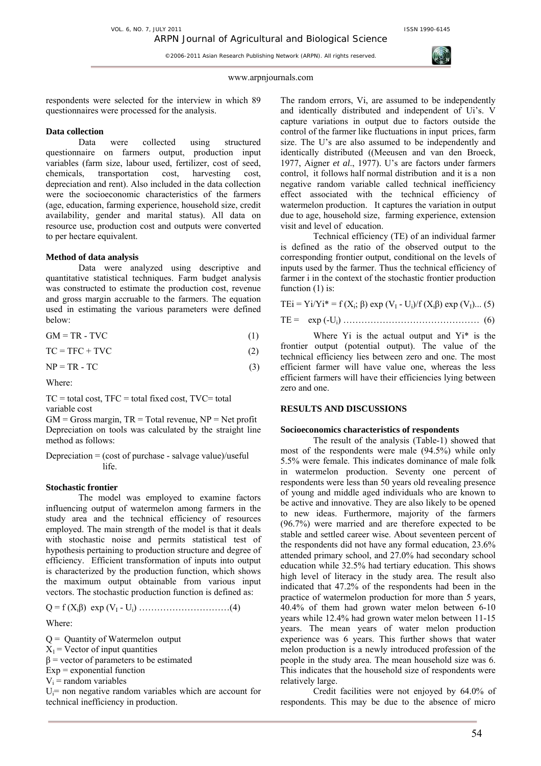

#### www.arpnjournals.com

respondents were selected for the interview in which 89 questionnaires were processed for the analysis.

#### **Data collection**

Data were collected using structured questionnaire on farmers output, production input variables (farm size, labour used, fertilizer, cost of seed, chemicals, transportation cost, harvesting cost, depreciation and rent). Also included in the data collection were the socioeconomic characteristics of the farmers (age, education, farming experience, household size, credit availability, gender and marital status). All data on resource use, production cost and outputs were converted to per hectare equivalent.

#### **Method of data analysis**

Data were analyzed using descriptive and quantitative statistical techniques. Farm budget analysis was constructed to estimate the production cost, revenue and gross margin accruable to the farmers. The equation used in estimating the various parameters were defined below:

$$
GM = TR - TVC \tag{1}
$$

$$
TC = TFC + TVC \tag{2}
$$

$$
NP = TR - TC \tag{3}
$$

Where:

 $TC = total cost$ ,  $TFC = total fixed cost$ ,  $TVC = total$ variable cost

 $GM = Gross$  margin,  $TR = Total$  revenue,  $NP = Net$  profit Depreciation on tools was calculated by the straight line method as follows:

Depreciation = (cost of purchase - salvage value)/useful life.

#### **Stochastic frontier**

The model was employed to examine factors influencing output of watermelon among farmers in the study area and the technical efficiency of resources employed. The main strength of the model is that it deals with stochastic noise and permits statistical test of hypothesis pertaining to production structure and degree of efficiency. Efficient transformation of inputs into output is characterized by the production function, which shows the maximum output obtainable from various input vectors. The stochastic production function is defined as:

 $Q = f(X_i\beta) \exp(V_1 - U_i) \dots (4)$ 

Where:

 $Q =$  Quantity of Watermelon output

 $X_1$  = Vector of input quantities

 $β = vector of parameters to be estimated$ 

 $Exp = exponential$  function

 $V_i$  = random variables

 $U_i$ = non negative random variables which are account for technical inefficiency in production.

The random errors, Vi, are assumed to be independently and identically distributed and independent of Ui's. V capture variations in output due to factors outside the control of the farmer like fluctuations in input prices, farm size. The U's are also assumed to be independently and identically distributed ((Meeusen and van den Broeck, 1977, Aigner *et al*., 1977). U's are factors under farmers control, it follows half normal distribution and it is a non negative random variable called technical inefficiency effect associated with the technical efficiency of watermelon production. It captures the variation in output due to age, household size, farming experience, extension visit and level of education.

Technical efficiency (TE) of an individual farmer is defined as the ratio of the observed output to the corresponding frontier output, conditional on the levels of inputs used by the farmer. Thus the technical efficiency of farmer i in the context of the stochastic frontier production function (1) is:

TEi = Yi/Yi\* = f (Xi; β) exp (VI - Ui)/f (Xiβ) exp (VI)... (5)

TE = exp (-Ui) ……………………………………… (6)

Where  $Y_i$  is the actual output and  $Y_i^*$  is the frontier output (potential output). The value of the technical efficiency lies between zero and one. The most efficient farmer will have value one, whereas the less efficient farmers will have their efficiencies lying between zero and one.

## **RESULTS AND DISCUSSIONS**

#### **Socioeconomics characteristics of respondents**

The result of the analysis (Table-1) showed that most of the respondents were male (94.5%) while only 5.5% were female. This indicates dominance of male folk in watermelon production. Seventy one percent of respondents were less than 50 years old revealing presence of young and middle aged individuals who are known to be active and innovative. They are also likely to be opened to new ideas. Furthermore, majority of the farmers (96.7%) were married and are therefore expected to be stable and settled career wise. About seventeen percent of the respondents did not have any formal education, 23.6% attended primary school, and 27.0% had secondary school education while 32.5% had tertiary education. This shows high level of literacy in the study area. The result also indicated that 47.2% of the respondents had been in the practice of watermelon production for more than 5 years, 40.4% of them had grown water melon between 6-10 years while 12.4% had grown water melon between 11-15 years. The mean years of water melon production experience was 6 years. This further shows that water melon production is a newly introduced profession of the people in the study area. The mean household size was 6. This indicates that the household size of respondents were relatively large.

Credit facilities were not enjoyed by 64.0% of respondents. This may be due to the absence of micro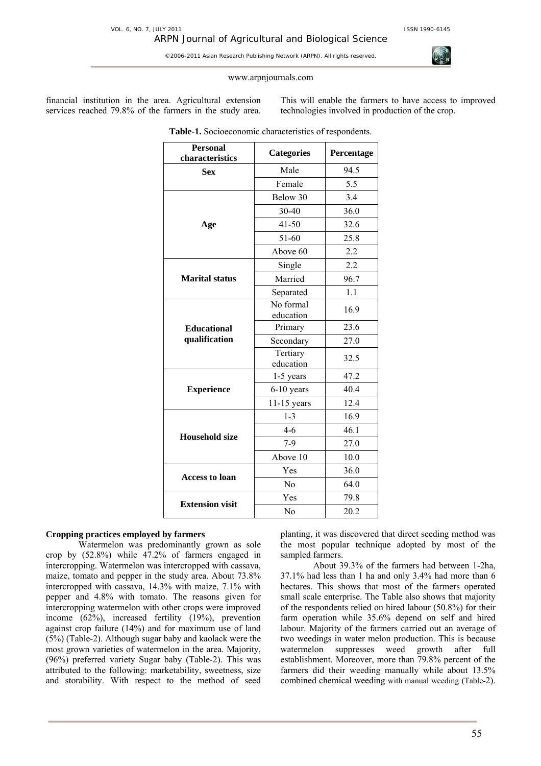#### www.arpnjournals.com

financial institution in the area. Agricultural extension services reached 79.8% of the farmers in the study area. This will enable the farmers to have access to improved technologies involved in production of the crop.

| <b>Personal</b><br>characteristics  | <b>Categories</b>      | Percentage |
|-------------------------------------|------------------------|------------|
| <b>Sex</b>                          | Male                   | 94.5       |
|                                     | Female                 | 5.5        |
|                                     | Below 30               | 3.4        |
|                                     | 30-40                  | 36.0       |
| Age                                 | $41 - 50$              | 32.6       |
|                                     | 51-60                  | 25.8       |
|                                     | Above 60               | 2.2        |
|                                     | Single                 | 2.2        |
| <b>Marital status</b>               | Married                | 96.7       |
|                                     | Separated              | 1.1        |
| <b>Educational</b><br>qualification | No formal<br>education | 16.9       |
|                                     | Primary                | 23.6       |
|                                     | Secondary              | 27.0       |
|                                     | Tertiary<br>education  | 32.5       |
|                                     | 1-5 years              | 47.2       |
| <b>Experience</b>                   | $6-10$ years           | 40.4       |
|                                     | $11-15$ years          | 12.4       |
|                                     | $1 - 3$                | 16.9       |
| <b>Household size</b>               | $4 - 6$                | 46.1       |
|                                     | $7-9$                  | 27.0       |
|                                     | Above 10               | 10.0       |
| <b>Access to loan</b>               | Yes                    | 36.0       |
|                                     | N <sub>0</sub>         | 64.0       |
| <b>Extension visit</b>              | Yes                    | 79.8       |
|                                     | No                     | 20.2       |

**Table-1.** Socioeconomic characteristics of respondents.

## **Cropping practices employed by farmers**

Watermelon was predominantly grown as sole crop by (52.8%) while 47.2% of farmers engaged in intercropping. Watermelon was intercropped with cassava, maize, tomato and pepper in the study area. About 73.8% intercropped with cassava, 14.3% with maize, 7.1% with pepper and 4.8% with tomato. The reasons given for intercropping watermelon with other crops were improved income (62%), increased fertility (19%), prevention against crop failure (14%) and for maximum use of land (5%) (Table-2). Although sugar baby and kaolack were the most grown varieties of watermelon in the area. Majority, (96%) preferred variety Sugar baby (Table-2). This was attributed to the following: marketability, sweetness, size and storability. With respect to the method of seed

planting, it was discovered that direct seeding method was the most popular technique adopted by most of the sampled farmers.

About 39.3% of the farmers had between 1-2ha, 37.1% had less than 1 ha and only 3.4% had more than 6 hectares. This shows that most of the farmers operated small scale enterprise. The Table also shows that majority of the respondents relied on hired labour (50.8%) for their farm operation while 35.6% depend on self and hired labour. Majority of the farmers carried out an average of two weedings in water melon production. This is because watermelon suppresses weed growth after full establishment. Moreover, more than 79.8% percent of the farmers did their weeding manually while about 13.5% combined chemical weeding with manual weeding (Table-2).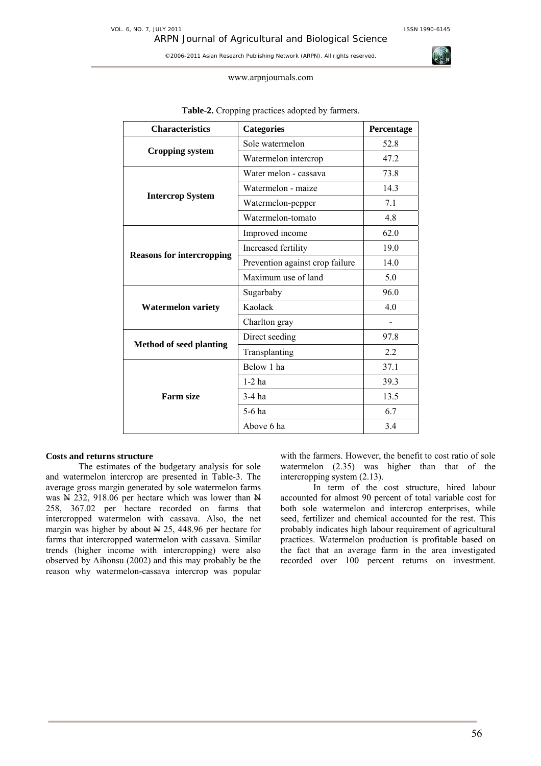#### www.arpnjournals.com

| <b>Characteristics</b>           | <b>Categories</b>               | Percentage |
|----------------------------------|---------------------------------|------------|
| Cropping system                  | Sole watermelon                 | 52.8       |
|                                  | Watermelon intercrop            | 47.2       |
|                                  | Water melon - cassava           | 73.8       |
|                                  | Watermelon - maize              | 14.3       |
| <b>Intercrop System</b>          | Watermelon-pepper               | 7.1        |
|                                  | Watermelon-tomato               | 4.8        |
| <b>Reasons for intercropping</b> | Improved income                 | 62.0       |
|                                  | Increased fertility             | 19.0       |
|                                  | Prevention against crop failure | 14.0       |
|                                  | Maximum use of land             | 5.0        |
|                                  | Sugarbaby                       | 96.0       |
| <b>Watermelon variety</b>        | Kaolack                         | 4.0        |
|                                  | Charlton gray                   |            |
| <b>Method of seed planting</b>   | Direct seeding                  | 97.8       |
|                                  | Transplanting                   | 2.2        |
| <b>Farm size</b>                 | Below 1 ha                      | 37.1       |
|                                  | $1-2$ ha                        | 39.3       |
|                                  | 3-4 ha                          | 13.5       |
|                                  | $5-6$ ha                        | 6.7        |
|                                  | Above 6 ha                      | 3.4        |

## **Table-2.** Cropping practices adopted by farmers.

#### **Costs and returns structure**

The estimates of the budgetary analysis for sole and watermelon intercrop are presented in Table-3. The average gross margin generated by sole watermelon farms was  $\cancel{\text{N}}$  232, 918.06 per hectare which was lower than  $\cancel{\text{N}}$ 258, 367.02 per hectare recorded on farms that intercropped watermelon with cassava. Also, the net margin was higher by about  $\cancel{\text{N}}$  25, 448.96 per hectare for farms that intercropped watermelon with cassava. Similar trends (higher income with intercropping) were also observed by Aihonsu (2002) and this may probably be the reason why watermelon-cassava intercrop was popular

with the farmers. However, the benefit to cost ratio of sole watermelon (2.35) was higher than that of the intercropping system (2.13).

In term of the cost structure, hired labour accounted for almost 90 percent of total variable cost for both sole watermelon and intercrop enterprises, while seed, fertilizer and chemical accounted for the rest. This probably indicates high labour requirement of agricultural practices. Watermelon production is profitable based on the fact that an average farm in the area investigated recorded over 100 percent returns on investment.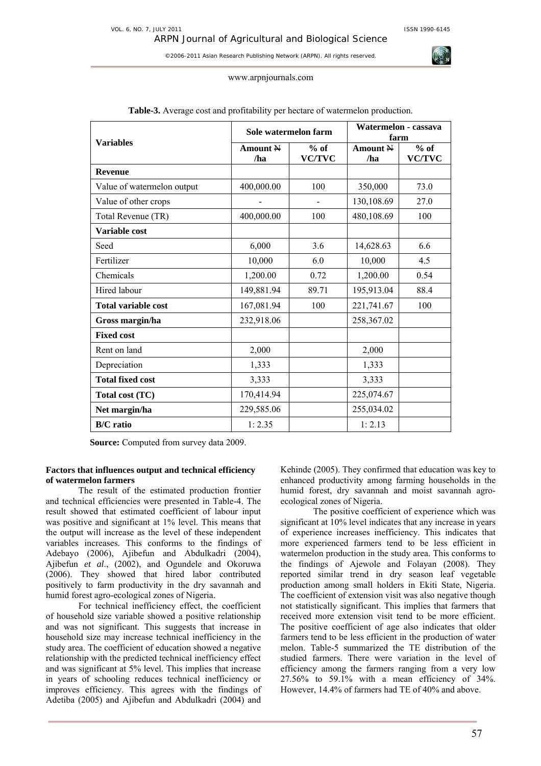#### www.arpnjournals.com

| <b>Variables</b>           | Sole watermelon farm       |                         | Watermelon - cassava<br>farm |                         |
|----------------------------|----------------------------|-------------------------|------------------------------|-------------------------|
|                            | Amount $\mathbb{N}$<br>/ha | $%$ of<br><b>VC/TVC</b> | Amount N<br>/ha              | $%$ of<br><b>VC/TVC</b> |
| <b>Revenue</b>             |                            |                         |                              |                         |
| Value of watermelon output | 400,000.00                 | 100                     | 350,000                      | 73.0                    |
| Value of other crops       |                            |                         | 130,108.69                   | 27.0                    |
| Total Revenue (TR)         | 400,000.00                 | 100                     | 480,108.69                   | 100                     |
| Variable cost              |                            |                         |                              |                         |
| Seed                       | 6,000                      | 3.6                     | 14,628.63                    | 6.6                     |
| Fertilizer                 | 10,000                     | 6.0                     | 10,000                       | 4.5                     |
| Chemicals                  | 1,200.00                   | 0.72                    | 1,200.00                     | 0.54                    |
| Hired labour               | 149,881.94                 | 89.71                   | 195,913.04                   | 88.4                    |
| <b>Total variable cost</b> | 167,081.94                 | 100                     | 221,741.67                   | 100                     |
| Gross margin/ha            | 232,918.06                 |                         | 258,367.02                   |                         |
| <b>Fixed cost</b>          |                            |                         |                              |                         |
| Rent on land               | 2,000                      |                         | 2,000                        |                         |
| Depreciation               | 1,333                      |                         | 1,333                        |                         |
| <b>Total fixed cost</b>    | 3,333                      |                         | 3,333                        |                         |
| Total cost (TC)            | 170,414.94                 |                         | 225,074.67                   |                         |
| Net margin/ha              | 229,585.06                 |                         | 255,034.02                   |                         |
| <b>B/C</b> ratio           | 1:2.35                     |                         | 1:2.13                       |                         |

## **Table-3.** Average cost and profitability per hectare of watermelon production.

**Source:** Computed from survey data 2009.

## **Factors that influences output and technical efficiency of watermelon farmers**

The result of the estimated production frontier and technical efficiencies were presented in Table-4. The result showed that estimated coefficient of labour input was positive and significant at 1% level. This means that the output will increase as the level of these independent variables increases. This conforms to the findings of Adebayo (2006), Ajibefun and Abdulkadri (2004), Ajibefun *et al*., (2002), and Ogundele and Okoruwa (2006). They showed that hired labor contributed positively to farm productivity in the dry savannah and humid forest agro-ecological zones of Nigeria.

For technical inefficiency effect, the coefficient of household size variable showed a positive relationship and was not significant. This suggests that increase in household size may increase technical inefficiency in the study area. The coefficient of education showed a negative relationship with the predicted technical inefficiency effect and was significant at 5% level. This implies that increase in years of schooling reduces technical inefficiency or improves efficiency. This agrees with the findings of Adetiba (2005) and Ajibefun and Abdulkadri (2004) and

Kehinde (2005). They confirmed that education was key to enhanced productivity among farming households in the humid forest, dry savannah and moist savannah agroecological zones of Nigeria.

The positive coefficient of experience which was significant at 10% level indicates that any increase in years of experience increases inefficiency. This indicates that more experienced farmers tend to be less efficient in watermelon production in the study area. This conforms to the findings of Ajewole and Folayan (2008). They reported similar trend in dry season leaf vegetable production among small holders in Ekiti State, Nigeria. The coefficient of extension visit was also negative though not statistically significant. This implies that farmers that received more extension visit tend to be more efficient. The positive coefficient of age also indicates that older farmers tend to be less efficient in the production of water melon. Table-5 summarized the TE distribution of the studied farmers. There were variation in the level of efficiency among the farmers ranging from a very low 27.56% to 59.1% with a mean efficiency of 34%. However, 14.4% of farmers had TE of 40% and above.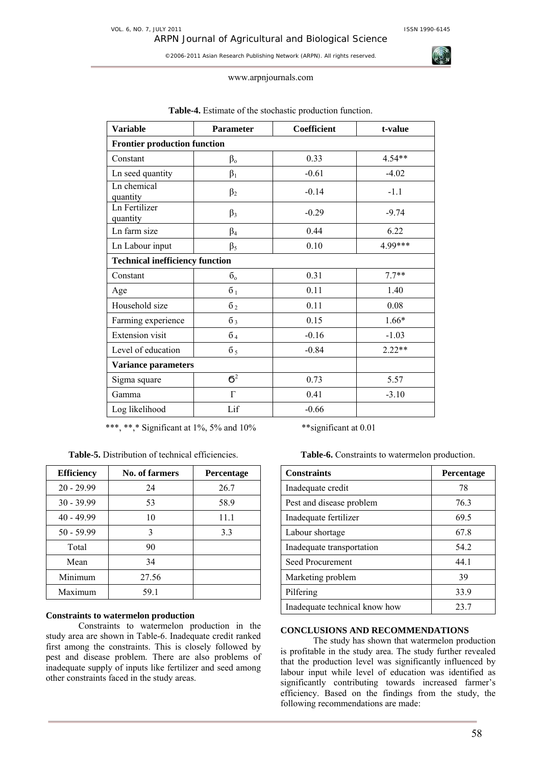ARPN Journal of Agricultural and Biological Science

©2006-2011 Asian Research Publishing Network (ARPN). All rights reserved.

#### www.arpnjournals.com

| <b>Variable</b>                        | <b>Parameter</b> | Coefficient | t-value  |
|----------------------------------------|------------------|-------------|----------|
| <b>Frontier production function</b>    |                  |             |          |
| Constant                               | $\beta_{o}$      | 0.33        | $4.54**$ |
| Ln seed quantity                       | $\beta_1$        | $-0.61$     | $-4.02$  |
| Ln chemical<br>quantity                | $\beta_2$        | $-0.14$     | $-1.1$   |
| Ln Fertilizer<br>quantity              | $\beta_3$        | $-0.29$     | $-9.74$  |
| Ln farm size                           | $\beta_4$        | 0.44        | 6.22     |
| Ln Labour input                        | $\beta_5$        | 0.10        | 4.99***  |
| <b>Technical inefficiency function</b> |                  |             |          |
| Constant                               | $\sigma_{\rm o}$ | 0.31        | $7.7**$  |
| Age                                    | 6 <sub>1</sub>   | 0.11        | 1.40     |
| Household size                         | 6 <sub>2</sub>   | 0.11        | 0.08     |
| Farming experience                     | $\overline{6}_3$ | 0.15        | $1.66*$  |
| Extension visit                        | $\overline{6}_4$ | $-0.16$     | $-1.03$  |
| Level of education                     | $\overline{6}_5$ | $-0.84$     | $2.22**$ |
| <b>Variance parameters</b>             |                  |             |          |
| Sigma square                           | $6^2$            | 0.73        | 5.57     |
| Gamma                                  | $\Gamma$         | 0.41        | $-3.10$  |
| Log likelihood                         | Lif              | $-0.66$     |          |

## **Table-4.** Estimate of the stochastic production function.

\*\*\*, \*\*,\* Significant at 1%, 5% and 10% \*\* significant at 0.01

**Table-5.** Distribution of technical efficiencies.

| <b>Efficiency</b> | No. of farmers | <b>Percentage</b> |
|-------------------|----------------|-------------------|
| $20 - 29.99$      | 24             | 26.7              |
| $30 - 39.99$      | 53             | 58.9              |
| $40 - 49.99$      | 10             | 11.1              |
| $50 - 59.99$      | 3              | 3.3               |
| Total             | 90             |                   |
| Mean              | 34             |                   |
| Minimum           | 27.56          |                   |
| Maximum           | 59.1           |                   |

## **Constraints to watermelon production**

Constraints to watermelon production in the study area are shown in Table-6. Inadequate credit ranked first among the constraints. This is closely followed by pest and disease problem. There are also problems of inadequate supply of inputs like fertilizer and seed among other constraints faced in the study areas.

**Table-6.** Constraints to watermelon production.

| <b>Constraints</b>            | Percentage |
|-------------------------------|------------|
| Inadequate credit             | 78         |
| Pest and disease problem      | 76.3       |
| Inadequate fertilizer         | 69.5       |
| Labour shortage               | 67.8       |
| Inadequate transportation     | 54.2       |
| Seed Procurement              | 44.1       |
| Marketing problem             | 39         |
| Pilfering                     | 33.9       |
| Inadequate technical know how | 23.7       |

## **CONCLUSIONS AND RECOMMENDATIONS**

The study has shown that watermelon production is profitable in the study area. The study further revealed that the production level was significantly influenced by labour input while level of education was identified as significantly contributing towards increased farmer's efficiency. Based on the findings from the study, the following recommendations are made:

58